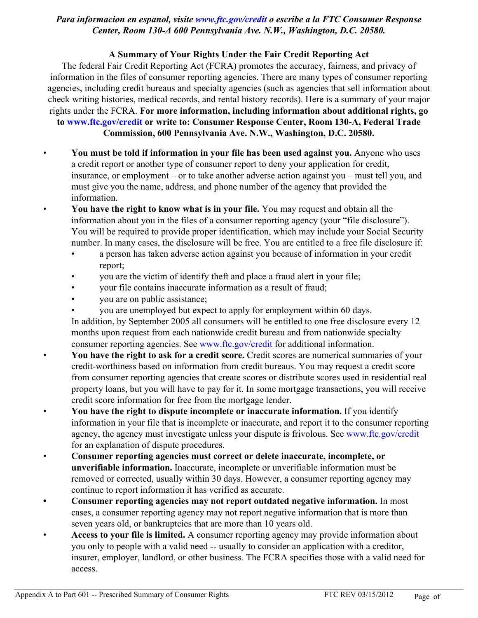## *Para informacion en espanol, visite www.ftc.gov/credit o escribe a la FTC Consumer Response Center, Room 130-A 600 Pennsylvania Ave. N.W., Washington, D.C. 20580.*

## **A Summary of Your Rights Under the Fair Credit Reporting Act**

The federal Fair Credit Reporting Act (FCRA) promotes the accuracy, fairness, and privacy of information in the files of consumer reporting agencies. There are many types of consumer reporting agencies, including credit bureaus and specialty agencies (such as agencies that sell information about check writing histories, medical records, and rental history records). Here is a summary of your major rights under the FCRA. **For more information, including information about additional rights, go**

## **to www.ftc.gov/credit or write to: Consumer Response Center, Room 130-A, Federal Trade Commission, 600 Pennsylvania Ave. N.W., Washington, D.C. 20580.**

- **You must be told if information in your file has been used against you.** Anyone who uses a credit report or another type of consumer report to deny your application for credit, insurance, or employment – or to take another adverse action against you – must tell you, and must give you the name, address, and phone number of the agency that provided the information.
- **You have the right to know what is in your file.** You may request and obtain all the information about you in the files of a consumer reporting agency (your "file disclosure"). You will be required to provide proper identification, which may include your Social Security number. In many cases, the disclosure will be free. You are entitled to a free file disclosure if:
	- a person has taken adverse action against you because of information in your credit report;
	- you are the victim of identify theft and place a fraud alert in your file;
	- your file contains inaccurate information as a result of fraud;
	- you are on public assistance;
	- you are unemployed but expect to apply for employment within 60 days.

In addition, by September 2005 all consumers will be entitled to one free disclosure every 12 months upon request from each nationwide credit bureau and from nationwide specialty consumer reporting agencies. See www.ftc.gov/credit for additional information.

- **You have the right to ask for a credit score.** Credit scores are numerical summaries of your credit-worthiness based on information from credit bureaus. You may request a credit score from consumer reporting agencies that create scores or distribute scores used in residential real property loans, but you will have to pay for it. In some mortgage transactions, you will receive credit score information for free from the mortgage lender.
- **You have the right to dispute incomplete or inaccurate information.** If you identify information in your file that is incomplete or inaccurate, and report it to the consumer reporting agency, the agency must investigate unless your dispute is frivolous. See www.ftc.gov/credit for an explanation of dispute procedures.
- **Consumer reporting agencies must correct or delete inaccurate, incomplete, or unverifiable information.** Inaccurate, incomplete or unverifiable information must be removed or corrected, usually within 30 days. However, a consumer reporting agency may continue to report information it has verified as accurate.
- **• Consumer reporting agencies may not report outdated negative information.** In most cases, a consumer reporting agency may not report negative information that is more than seven years old, or bankruptcies that are more than 10 years old.
- **Access to your file is limited.** A consumer reporting agency may provide information about you only to people with a valid need -- usually to consider an application with a creditor, insurer, employer, landlord, or other business. The FCRA specifies those with a valid need for access.